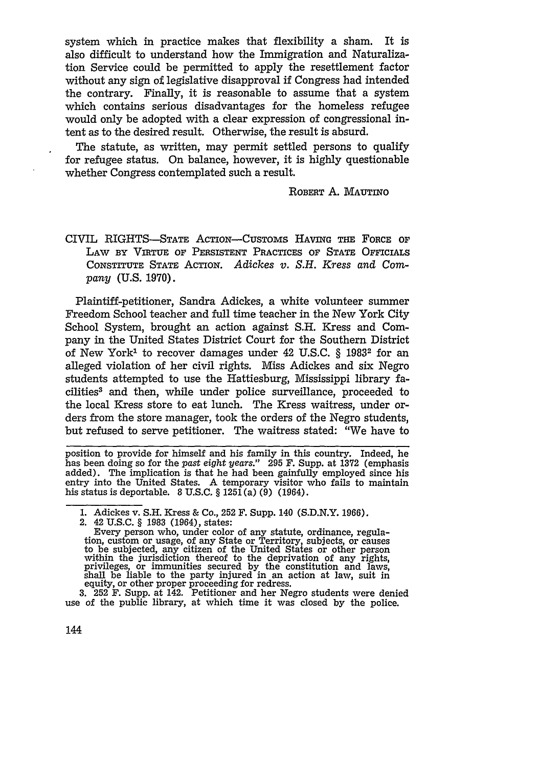system which in practice makes that flexibility a sham. It is also difficult to understand how the Immigration and Naturalization Service could be permitted to apply the resettlement factor without any sign of legislative disapproval if Congress had intended the contrary. Finally, it is reasonable to assume that a system which contains serious disadvantages for the homeless refugee would only be adopted with a clear expression of congressional intent as to the desired result. Otherwise, the result is absurd.

The statute, as written, may permit settled persons to qualify for refugee status. On balance, however, it is highly questionable whether Congress contemplated such a result.

ROBERT A. MAUTiNo

CIVIL RIGHTS-STATE AcTION-CUSTOMs HAVING THE FORCE OF LAW BY VIRTUE OF PERSISTENT PRACTICES OF STATE OFFICIALS CONSTrrUTE STATE ACTION. *Adickes v. S.H. Kress and Company* (U.S. 1970).

Plaintiff-petitioner, Sandra Adickes, a white volunteer summer Freedom School teacher and full time teacher in the New York City School System, brought an action against S.H. Kress and Company in the United States District Court for the Southern District of New York" to recover damages under 42 U.S.C. § 19832 for an alleged violation of her civil rights. Miss Adickes and six Negro students attempted to use the Hattiesburg, Mississippi library facilities3 and then, while under police surveillance, proceeded to the local Kress store to eat lunch. The Kress waitress, under orders from the store manager, took the orders of the Negro students, but refused to serve petitioner. The waitress stated: "We have to

position to provide for himself and his family in this country. Indeed, he has been doing so for the *past eight years."* 295 F. Supp. at 1372 (emphasis added). The implication is that he had been gainfully employed since his entry into the United States. A temporary visitor who fails to maintain his status is deportable. 8 U.S.C.  $\S 125\overline{1}$ (a) (9) (1964).

<sup>1.</sup> Adickes v. **S.11.** Kress & Co., 252 F. Supp. 140 (S.D.N.Y. 1966).

<sup>2. 42</sup> U.S.C. § 1983 (1964), states:

Every person who, under color of any statute, ordinance, regula- tion, custom or usage, of any State or Territory, subjects, or causes to be subjected, any citizen of the United States or other person within the jurisdiction thereof to the deprivation of any rights, privileges, or immunities secured by the constitution and laws, shall be liable to the party injured in an action at law, suit in equity, or other proper proceeding for redress.

<sup>3. 252</sup> F. Supp. at 142. Petitioner and her Negro students were denied use of the public library, at which time it was closed by the police.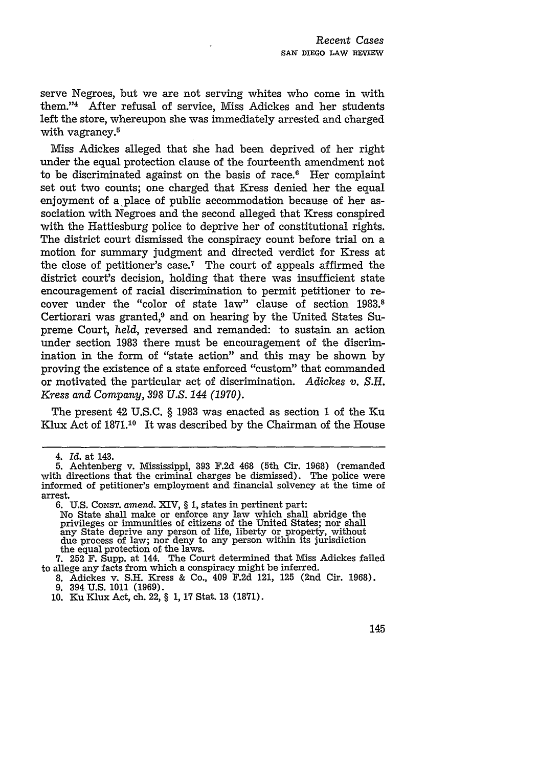serve Negroes, but we are not serving whites who come in with them."4 After refusal of service, Miss Adickes and her students left the store, whereupon she was immediately arrested and charged with vagrancy.<sup>5</sup>

Miss Adickes alleged that she had been deprived of her right under the equal protection clause of the fourteenth amendment not to be discriminated against on the basis of race. $6$  Her complaint set out two counts; one charged that Kress denied her the equal enjoyment of a place of public accommodation because of her association with Negroes and the second alleged that Kress conspired with the Hattiesburg police to deprive her of constitutional rights. The district court dismissed the conspiracy count before trial on a motion for summary judgment and directed verdict for Kress at the close of petitioner's case.<sup>7</sup> The court of appeals affirmed the district court's decision, holding that there was insufficient state encouragement of racial discrimination to permit petitioner to recover under the "color of state law" clause of section 1983.8 Certiorari was granted,<sup>9</sup> and on hearing by the United States Supreme Court, *held,* reversed and remanded: to sustain an action under section 1983 there must be encouragement of the discrimination in the form of "state action" and this may be shown by proving the existence of a state enforced "custom" that commanded or motivated the particular act of discrimination. Adickes v. *S.H. Kress and Company, 398 U.S. 144 (1970).*

The present 42 U.S.C. § 1983 was enacted as section 1 of the Ku Klux Act of **1871.10** It was described by the Chairman of the House

*<sup>4.</sup> Id.* at 143.

<sup>5.</sup> Achtenberg v. Mississippi, 393 F.2d 468 (5th Cir. 1968) (remanded with directions that the criminal charges be dismissed). The police were informed of petitioner's employment and financial solvency at the time of arrest.

**<sup>6.</sup> U.S. CONST.** *amend.* XIV, § 1, states in pertinent part:

No State shall make or enforce any law which shall abridge the privileges or immunities of citizens of the United States; nor shall any State deprive any person of life, liberty or property, without due process of law; nor deny to any person within its jurisdiction the equal protection of the laws.

**<sup>7.</sup>** 252 F. Supp. at 144. The Court determined that Miss Adickes failed to allege any facts from which a conspiracy might be inferred.

<sup>8.</sup> Adickes v. S.H. Kress & Co., 409 F.2d 121, 125 (2nd Cir. 1968). 9. 394 U.S. 1011 (1969).

<sup>10.</sup> Ku Klux Act, ch. 22, § 1, 17 Stat. 13 (1871).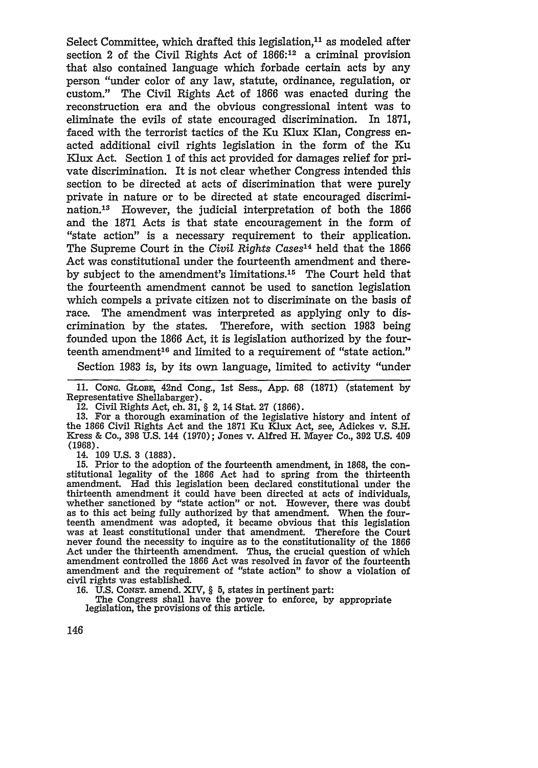Select Committee, which drafted this legislation,<sup>11</sup> as modeled after section 2 of the Civil Rights Act of  $1866$ <sup>:12</sup> a criminal provision that also contained language which forbade certain acts by any person "under color of any law, statute, ordinance, regulation, or custom." The Civil Rights Act of 1866 was enacted during the reconstruction era and the obvious congressional intent was to eliminate the evils of state encouraged discrimination. In 1871, faced with the terrorist tactics of the Ku Klux Klan, Congress enacted additional civil rights legislation in the form of the Ku Klux Act. Section 1 of this act provided for damages relief for private discrimination. It is not clear whether Congress intended this section to be directed at acts of discrimination that were purely private in nature or to be directed at state encouraged discrimination.<sup>13</sup> However, the judicial interpretation of both the 1866 and the 1871 Acts is that state encouragement in the form of "state action" is a necessary requirement to their application. The Supreme Court in the *Civil Rights Cases'4* held that the 1866 Act was constitutional under the fourteenth amendment and thereby subject to the amendment's limitations.'5 The Court held that the fourteenth amendment cannot be used to sanction legislation which compels a private citizen not to discriminate on the basis of race. The amendment was interpreted as applying only to discrimination by the states. Therefore, with section 1983 being founded upon the 1866 Act, it is legislation authorized by the fourteenth amendment'6 and limited to a requirement of "state action."

Section 1983 is, by its own language, limited to activity "under

11. CONG. GLOBE, 42nd Cong., 1st Sess., App. 68 (1871) (statement by Representative Shellabarger). 12. Civil Rights Act, ch. **31,** § 2, 14 Stat. 27 (1866).

13. For a thorough examination of the legislative history and intent of the 1866 Civil Rights Act and the 1871 Ku Klux Act, see, Adickes v. S.H. Kress & Co., 398 U.S. 144 (1970); Jones v. Alfred H. Mayer Co., 392 U.S. 409 (1968).

14. 109 U.S. 3 (1883). 15. Prior to the adoption of the fourteenth amendment, in 1868, the constitutional legality of the 1866 Act had to spring from the thirteenth amendment. Had this legislation been declared constitutional under the thirteenth amendment it could have been directed at acts of individuals, whether sanctioned by "state action" or not. However, there was doubt as to this act being fully authorized by that amendment. When the fourteenth amendment was adopted, it became obvious that this legislation was at least constitutional under that amendment. Therefore the Court never found the necessity to inquire as to the constitutionality of the 1866 Act under the thirteenth amendment. Thus, the crucial question of which amendment controlled the 1866 Act was resolved in favor of the fourteenth amendment and the requirement of "state action" to show a violation of civil rights was established.

16. U.S. Const. amend. XIV, § 5, states in pertinent part:<br>16. U.S. Const. amend. XIV, § 5, states in pertinent part:<br>The Congress shall have the power to enforce, by appropriate legislation, the provisions of this article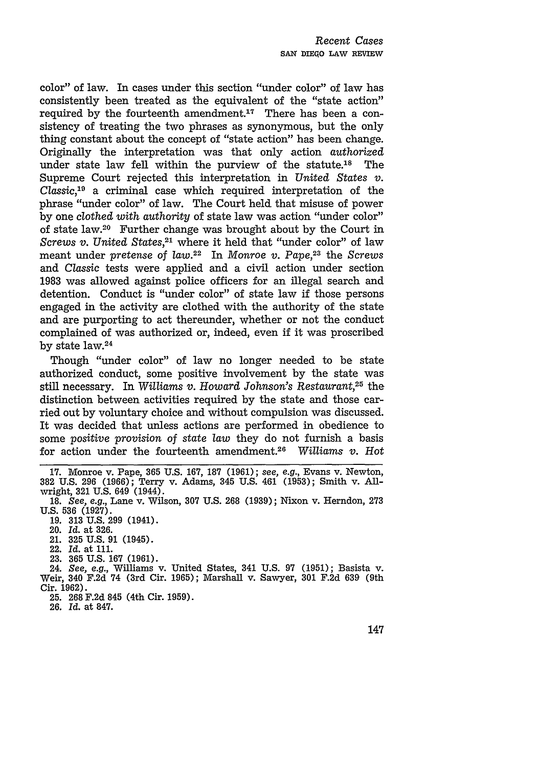color" of law. In cases under this section "under color" of law has consistently been treated as the equivalent of the "state action" required by the fourteenth amendment. $17$  There has been a consistency of treating the two phrases as synonymous, but the only thing constant about the concept of "state action" has been change. Originally the interpretation was that only action *authorized* under state law fell within the purview of the statute.<sup>18</sup> The Supreme Court rejected this interpretation in *United States v. Classic,19* a criminal case which required interpretation of the phrase "under color" of law. The Court held that misuse of power by one *clothed with authority* of state law was action "under color" of state law.20 Further change was brought about by the Court in *Screws v. United States,2'* where it held that "under color" of law meant under *pretense* of *law.22* In *Monroe v. Pape,23* the *Screws* and *Classic* tests were applied and a civil action under section 1983 was allowed against police officers for an illegal search and detention. Conduct is "under color" of state law if those persons engaged in the activity are clothed with the authority of the state and are purporting to act thereunder, whether or not the conduct complained of was authorized or, indeed, even if it was proscribed by state law.<sup>24</sup>

Though "under color" of law no longer needed to be state authorized conduct, some positive involvement by the state was still necessary. In *Williams v. Howard Johnson's Restaurant,25* the distinction between activities required by the state and those carried out by voluntary choice and without compulsion was discussed. It was decided that unless actions are performed in obedience to some *positive provision* of *state law* they do not furnish a basis for action under the fourteenth amendment. <sup>26</sup>*Williams v. Hot*

- 22. *Id.* at 111.
- **23. 365 U.S. 167 (1961).**

24. *See,* e.g., Williams v. United States, 341 U.S. 97 (1951); Basista v. Weir, 340 F.2d 74 (3rd Cir. 1965); Marshall v. Sawyer, 301 F.2d **639** (9th Cir. 1962).

- 25. 268 F.2d 845 (4th Cir. 1959).
- 26. *Id.* at 847.

**<sup>17.</sup>** Monroe v. Pape, **365 U.S. 167, 187 (1961);** see, e.g., Evans v. Newton, 382 U.S. 296 (1966); Terry v. Adams, 345 U.S. 461 (1953); Smith v. Allwright, **321** U.S. 649 (1944).

<sup>18.</sup> *See,* e.g., Lane v. Wilson, **307** U.S. 268 **(1939);** Nixon v. Herndon, **273** U.S. 536 (1927).

<sup>19. 313</sup> U.S. 299 (1941).

<sup>20.</sup> *Id.* at 326.

<sup>21.</sup> **325** U.S. 91 (1945).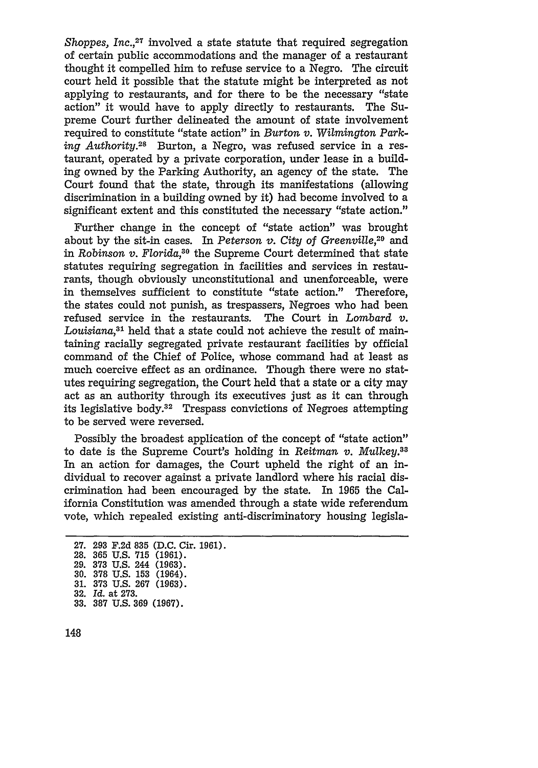*Shoppes, Inc.*<sup>27</sup> involved a state statute that required segregation of certain public accommodations and the manager of a restaurant thought it compelled him to refuse service to a Negro. The circuit court held it possible that the statute might be interpreted as not applying to restaurants, and for there to be the necessary "state action" it would have to apply directly to restaurants. The Supreme Court further delineated the amount of state involvement required to constitute "state action" in *Burton v. Wilmington Parking Authority.28* Burton, a Negro, was refused service in a restaurant, operated by a private corporation, under lease in a building owned by the Parking Authority, an agency of the state. The Court found that the state, through its manifestations (allowing discrimination in a building owned by it) had become involved to a significant extent and this constituted the necessary "state action."

Further change in the concept of "state action" was brought about by the sit-in cases. In *Peterson v. City of Greenville,29* and in *Robinson v. Florida,30* the Supreme Court determined that state statutes requiring segregation in facilities and services in restaurants, though obviously unconstitutional and unenforceable, were in themselves sufficient to constitute "state action." Therefore, the states could not punish, as trespassers, Negroes who had been refused service in the restaurants. The Court in *Lombard v. Louisiana,3 <sup>1</sup>*held that a state could not achieve the result of maintaining racially segregated private restaurant facilities by official command of the Chief of Police, whose command had at least as much coercive effect as an ordinance. Though there were no statutes requiring segregation, the Court held that a state or a city may act as an authority through its executives just as it can through its legislative body. $32$  Trespass convictions of Negroes attempting to be served were reversed.

Possibly the broadest application of the concept of "state action" to date is the Supreme Court's holding in *Reitman v. Mulkey.38* In an action for damages, the Court upheld the right of an individual to recover against a private landlord where his racial discrimination had been encouraged by the state. In 1965 the California Constitution was amended through a state wide referendum vote, which repealed existing anti-discriminatory housing legisla-

**<sup>27. 293</sup> F.2d 835 (D.C.** Cir. **1961). 28. 365 U.S. 715 (1961). 29. 373 U.S.** 244 **(1963). 30. 378 U.S. 153** (1964). **31. 373 U.S. 267 (1963). 32.** *Id.* at **273. 33. 387 U.S. 369 (1967).**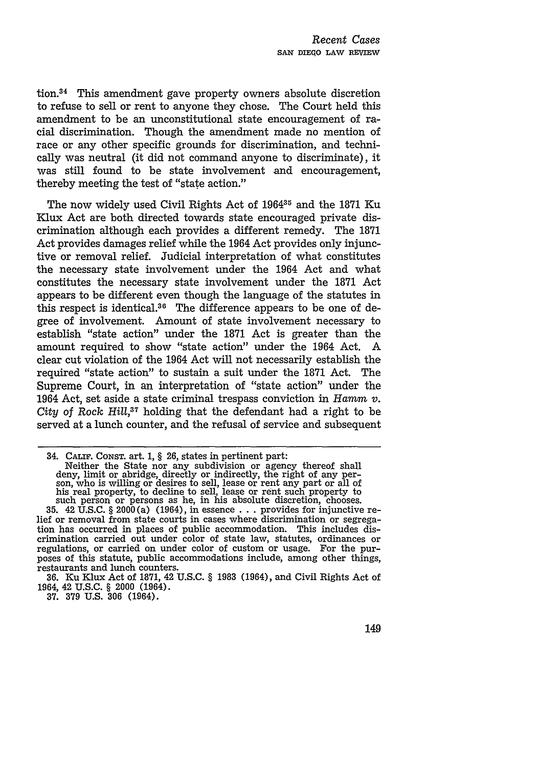tion.34 This amendment gave property owners absolute discretion to refuse to sell or rent to anyone they chose. The Court held this amendment to be an unconstitutional state encouragement of racial discrimination. Though the amendment made no mention of race or any other specific grounds for discrimination, and technically was neutral (it did not command anyone to discriminate), it was still found to be state involvement and encouragement, thereby meeting the test of "state action."

The now widely used Civil Rights Act of 196435 and the 1871 Ku Klux Act are both directed towards state encouraged private discrimination although each provides a different remedy. The 1871 Act provides damages relief while the 1964 Act provides only injunctive or removal relief. Judicial interpretation of what constitutes the necessary state involvement under the 1964 Act and what constitutes the necessary state involvement under the 1871 Act appears to be different even though the language of the statutes in this respect is identical.36 The difference appears to be one of degree of involvement. Amount of state involvement necessary to establish "state action" under the 1871 Act is greater than the amount required to show "state action" under the 1964 Act. A clear cut violation of the 1964 Act will not necessarily establish the required "state action" to sustain a suit under the **1871** Act. The Supreme Court, in an interpretation of "state action" under the 1964 Act, set aside a state criminal trespass conviction in *Harm v. City* of Rock *Hill,37* holding that the defendant had a right to be served at a lunch counter, and the refusal of service and subsequent

<sup>34.</sup> CALIF. CoNsT. art. **1,** § 26, states in pertinent part: Neither the State nor any subdivision or agency thereof shall<br>deny, limit or abridge, directly or indirectly, the right of any per-<br>son, who is willing or desires to sell, lease or rent any part or all of<br>his real property

**<sup>35.</sup>** 42 **U.S.C.** § 2000(a) (1964), in essence **. . .** provides for injunctive relief or removal from state courts in cases where discrimination or segregation has occurred in places of public accommodation. This includes discrimination carried out under color of state law, statutes, ordinances or regulations, or carried on under color of custom or usage. For the purposes of this statute, public accommodations include, among other things, restaurants and lunch counters.

**<sup>36.</sup>** Ku Klux Act of **1871,** 42 **U.S.C.** § **1983** (1964), and Civil Rights Act of 1964, 42 U.S.C. § 2000 (1964).

**<sup>37.</sup>** 379 U.S. 306 (1964).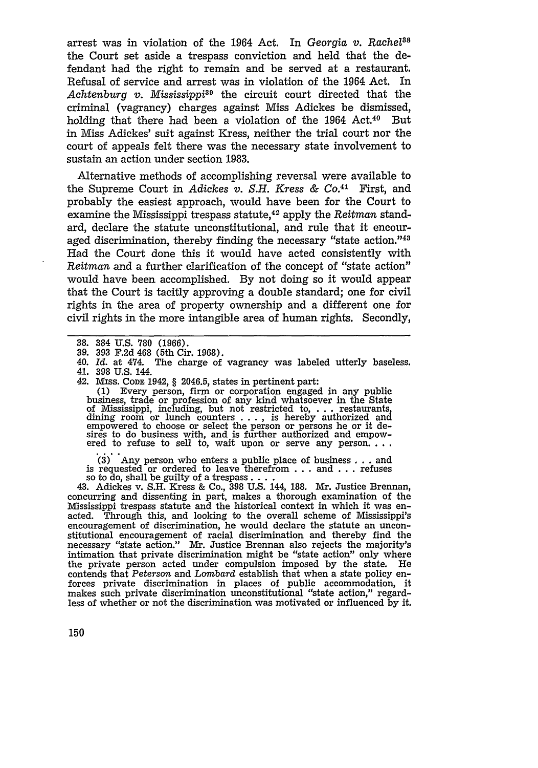arrest was in violation of the 1964 Act. In *Georgia v. Rachel"8* the Court set aside a trespass conviction and held that the defendant had the right to remain and be served at a restaurant. Refusal of service and arrest was in violation of the 1964 Act. In Achtenburg v. Mississippi<sup>39</sup> the circuit court directed that the criminal (vagrancy) charges against Miss Adickes be dismissed, holding that there had been a violation of the 1964 Act.<sup>40</sup> But in Miss Adickes' suit against Kress, neither the trial court nor the court of appeals felt there was the necessary state involvement to sustain an action under section 1983.

Alternative methods of accomplishing reversal were available to the Supreme Court in *Adickes v. S.H. Kress &* CO.41 First, and probably the easiest approach, would have been for the Court to examine the Mississippi trespass statute,42 apply the *Reitman* standard, declare the statute unconstitutional, and rule that it encouraged discrimination, thereby finding the necessary "state action."<sup>43</sup> Had the Court done this it would have acted consistently with *Reitman* and a further clarification of the concept of "state action" would have been accomplished. By not doing so it would appear that the Court is tacitly approving a double standard; one for civil rights in the area of property ownership and a different one for civil rights in the more intangible area of human rights. Secondly,

42. Mrss. Cone 1942, § 2046.5, states in pertinent part:<br>
(1) Every person, firm or corporation engaged in any public<br>
business, trade or profession of any kind whatsoever in the State<br>
of Mississippi, including, but not sires to do business with, and is further authorized and empow-<br>ered to refuse to sell to, wait upon or serve any person. **..**<br>(3) Any person who enters a public place of business with, and is further authorized and empow-

is requested or ordered to leave therefrom . . . and . . . refuses<br>so to do, shall be guilty of a trespass . . . .<br>43. Adickes v. S.H. Kress & Co., 398 U.S. 144, 188. Mr. Justice Brennan,

concurring and dissenting in part, makes a thorough examination of the Mississippi trespass statute and the historical context in which it was enacted. Through this, and looking to the overall scheme of Mississippi's encouragement of discrimination, he would declare the statute an unconstitutional encouragement of racial discrimination and thereby find the necessary "state action." Mr. Justice Brennan also rejects the majority's intimation that private discrimination might be "state action" only where the private person acted under compulsion imposed by the state. He contends that *Peterson* and *Lombard* establish that when a state policy en- forces private discrimination in places of public accommodation, it makes such private discrimination unconstitutional "state action," regardless of whether or not the discrimination was motivated or influenced by it.

<sup>38. 384</sup> U.S. 780 (1966).

<sup>39. 393</sup> F.2d 468 (Sth Cir. 1968).

<sup>40.</sup> *Id.* at 474. The charge of vagrancy was labeled utterly baseless. 41. 398 U.S. 144.<br>42. MISS. CODE 1942, § 2046.5, states in pertinent part: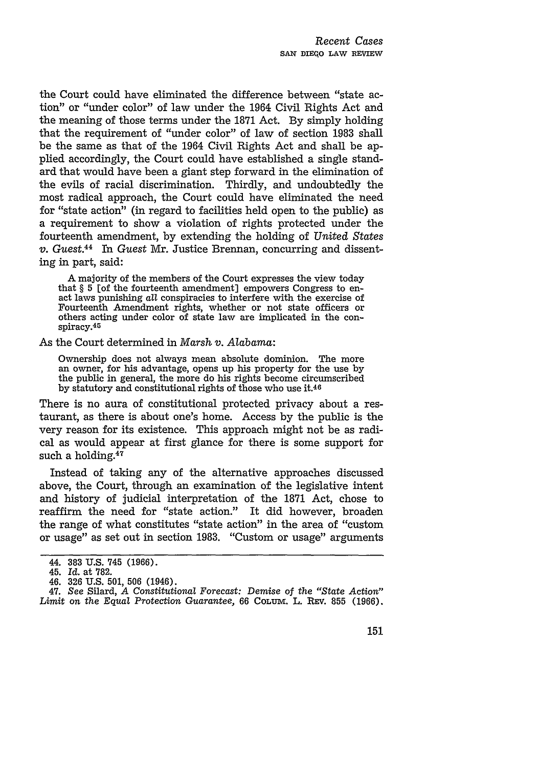the Court could have eliminated the difference between "state action" or "under color" of law under the 1964 Civil Rights Act and the meaning of those terms under the 1871 Act. By simply holding that the requirement of "under color" of law of section 1983 shall be the same as that of the 1964 Civil Rights Act and shall be applied accordingly, the Court could have established a single standard that would have been a giant step forward in the elimination of the evils of racial discrimination. Thirdly, and undoubtedly the most radical approach, the Court could have eliminated the need for "state action" (in regard to facilities held open to the public) as a requirement to show a violation of rights protected under the fourteenth amendment, by extending the holding of *United States v. Guest.4 <sup>4</sup>*In *Guest* Mr. Justice Brennan, concurring and dissenting in part, said:

A majority of the members of the Court expresses the view today that  $\S$  5 [of the fourteenth amendment] empowers Congress to enact laws punishing *all* conspiracies to interfere with the exercise of Fourteenth Amendment rights, whether or not state officers or others acting under color of state law are implicated in the conspiracy. <sup>45</sup>

As the Court determined in *Marsh v. Alabama:*

Ownership does not always mean absolute dominion. The more an owner, for his advantage, opens up his property for the use by the public in general, the more do his rights become circumscribed by statutory and constitutional rights of those who use **it.46**

There is no aura of constitutional protected privacy about a restaurant, as there is about one's home. Access by the public is the very reason for its existence. This approach might not be as radical as would appear at first glance for there is some support for such a holding.<sup>47</sup>

Instead of taking any of the alternative approaches discussed above, the Court, through an examination of the legislative intent and history of judicial interpretation of the 1871 Act, chose to reaffirm the need for "state action." It did however, broaden the range of what constitutes "state action" in the area of "custom or usage" as set out in section 1983. "Custom or usage" arguments

<sup>44.</sup> **383** U.S. 745 (1966).

<sup>45.</sup> *Id.* at 782.

<sup>46. 326</sup> U.S. 501, 506 (1946).

<sup>47.</sup> *See* Silard, *A Constitutional Forecast: Demise of the* "State *Action"* Limit on the *Equal Protection Guarantee*, 66 COLUM. L. REV. 855 (1966).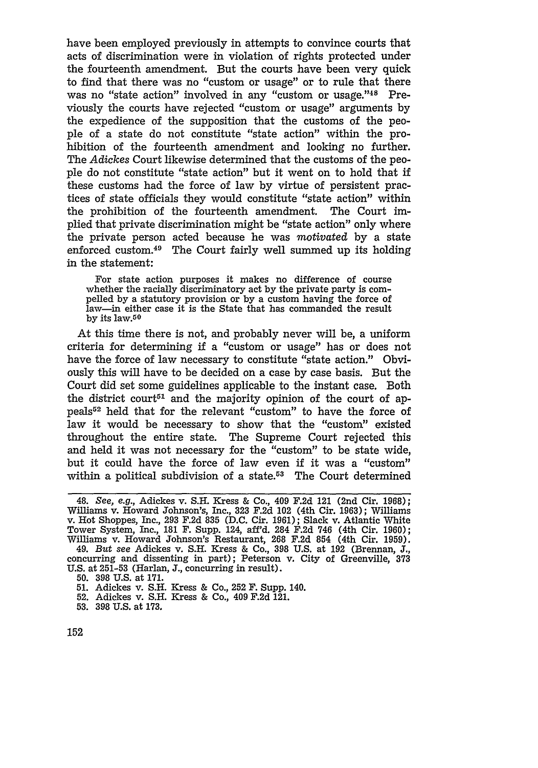have been employed previously in attempts to convince courts that acts of discrimination were in violation of rights protected under the fourteenth amendment. But the courts have been very quick to find that there was no "custom or usage" or to rule that there was no "state action" involved in any "custom or usage."<sup>48</sup> Previously the courts have rejected "custom or usage" arguments by the expedience of the supposition that the customs of the people of a state do not constitute "state action" within the prohibition of the fourteenth amendment and looking no further. The *Adickes* Court likewise determined that the customs of the people do not constitute "state action" but it went on to hold that if these customs had the force of law by virtue of persistent practices of state officials they would constitute "state action" within the prohibition of the fourteenth amendment. The Court implied that private discrimination might be "state action" only where the private person acted because he was *motivated* by a state enforced custom.<sup>49</sup> The Court fairly well summed up its holding in the statement:

For state action purposes it makes no difference of course whether the racially discriminatory act by the private party is compelled by a statutory provision or by a custom having the force of law-in either case it is the State that has commanded the result by its law.50

At this time there is not, and probably never will be, a uniform criteria for determining if a "custom or usage" has or does not have the force of law necessary to constitute "state action." Obviously this will have to be decided on a case by case basis. But the Court did set some guidelines applicable to the instant case. Both the district court<sup> $51$ </sup> and the majority opinion of the court of appeals52 held that for the relevant "custom" to have the force of law it would be necessary to show that the "custom" existed throughout the entire state. The Supreme Court rejected this and held it was not necessary for the "custom" to be state wide, but it could have the force of law even if it was a "custom" within a political subdivision of a state. $53$  The Court determined

**53.** 398 **U.S.** at **173.**

<sup>48.</sup> *See, e.g.,* Adickes v. S.H. Kress & Co., 409 F.2d 121 (2nd Cir. 1968); Williams v. Howard Johnson's, Inc., 323 F.2d 102 (4th Cir. 1963); Williams v. Hot Shoppes, Inc., 293 F.2d 835 (D.C. Cir. 1961); Slack v. Atlantic White Tower System, Inc., 181 F. Supp. 124, aff'd. 284 F.2d 746 (4th Cir. 1960); Williams v. Howard Johnson's Restaurant, 268 F.2d 854 (4th Cir. 1959). 49. *But see* Adickes v. **S.H.** Kress & Co., 398 U.S. at 192 (Brennan, **J.,** concurring and dissenting in part); Peterson v. City of Greenville, 373 U.S. at 251-53 (Harlan, **J.,** concurring in result).

<sup>50. 398</sup> **U.S.** at 171.

<sup>51.</sup> Adickes v. S.H. Kress & Co., 252 F. Supp. 140.

<sup>52.</sup> Adickes v. S.H. Kress & Co., 409 F.2d 121.